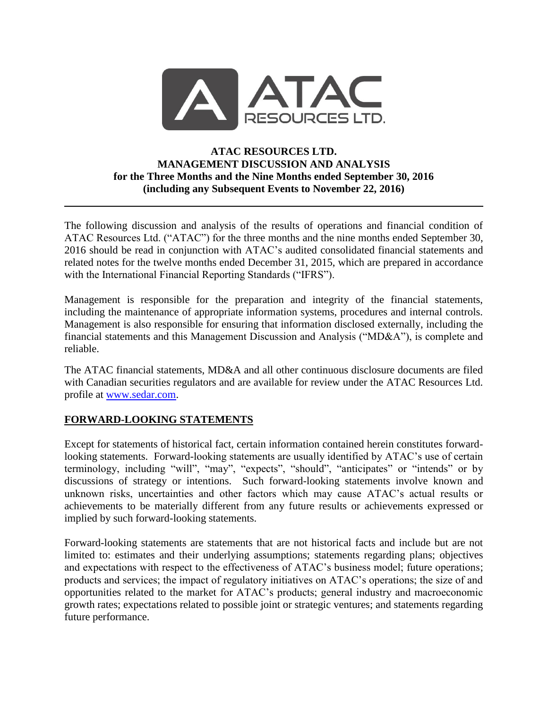

### **ATAC RESOURCES LTD. MANAGEMENT DISCUSSION AND ANALYSIS for the Three Months and the Nine Months ended September 30, 2016 (including any Subsequent Events to November 22, 2016)**

The following discussion and analysis of the results of operations and financial condition of ATAC Resources Ltd. ("ATAC") for the three months and the nine months ended September 30, 2016 should be read in conjunction with ATAC's audited consolidated financial statements and related notes for the twelve months ended December 31, 2015, which are prepared in accordance with the International Financial Reporting Standards ("IFRS").

Management is responsible for the preparation and integrity of the financial statements, including the maintenance of appropriate information systems, procedures and internal controls. Management is also responsible for ensuring that information disclosed externally, including the financial statements and this Management Discussion and Analysis ("MD&A"), is complete and reliable.

The ATAC financial statements, MD&A and all other continuous disclosure documents are filed with Canadian securities regulators and are available for review under the ATAC Resources Ltd. profile at [www.sedar.com.](http://www.sedar.com/)

## **FORWARD-LOOKING STATEMENTS**

Except for statements of historical fact, certain information contained herein constitutes forwardlooking statements. Forward-looking statements are usually identified by ATAC's use of certain terminology, including "will", "may", "expects", "should", "anticipates" or "intends" or by discussions of strategy or intentions. Such forward-looking statements involve known and unknown risks, uncertainties and other factors which may cause ATAC's actual results or achievements to be materially different from any future results or achievements expressed or implied by such forward-looking statements.

Forward-looking statements are statements that are not historical facts and include but are not limited to: estimates and their underlying assumptions; statements regarding plans; objectives and expectations with respect to the effectiveness of ATAC's business model; future operations; products and services; the impact of regulatory initiatives on ATAC's operations; the size of and opportunities related to the market for ATAC's products; general industry and macroeconomic growth rates; expectations related to possible joint or strategic ventures; and statements regarding future performance.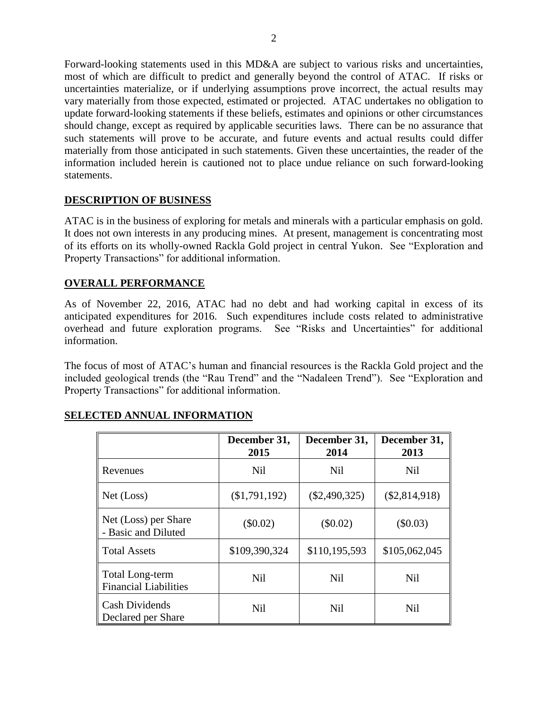Forward-looking statements used in this MD&A are subject to various risks and uncertainties, most of which are difficult to predict and generally beyond the control of ATAC. If risks or uncertainties materialize, or if underlying assumptions prove incorrect, the actual results may vary materially from those expected, estimated or projected. ATAC undertakes no obligation to update forward-looking statements if these beliefs, estimates and opinions or other circumstances should change, except as required by applicable securities laws. There can be no assurance that such statements will prove to be accurate, and future events and actual results could differ materially from those anticipated in such statements. Given these uncertainties, the reader of the information included herein is cautioned not to place undue reliance on such forward-looking statements.

## **DESCRIPTION OF BUSINESS**

ATAC is in the business of exploring for metals and minerals with a particular emphasis on gold. It does not own interests in any producing mines. At present, management is concentrating most of its efforts on its wholly-owned Rackla Gold project in central Yukon. See "Exploration and Property Transactions" for additional information.

## **OVERALL PERFORMANCE**

As of November 22, 2016, ATAC had no debt and had working capital in excess of its anticipated expenditures for 2016. Such expenditures include costs related to administrative overhead and future exploration programs. See "Risks and Uncertainties" for additional information.

The focus of most of ATAC's human and financial resources is the Rackla Gold project and the included geological trends (the "Rau Trend" and the "Nadaleen Trend"). See "Exploration and Property Transactions" for additional information.

|                                                 | December 31,<br>2015 | December 31,<br>2014 | December 31,<br>2013 |  |
|-------------------------------------------------|----------------------|----------------------|----------------------|--|
| Revenues                                        | <b>Nil</b>           | <b>Nil</b>           | <b>Nil</b>           |  |
| Net (Loss)                                      | (\$1,791,192)        | $(\$2,490,325)$      | $(\$2,814,918)$      |  |
| Net (Loss) per Share<br>- Basic and Diluted     | $(\$0.02)$           | $(\$0.02)$           | (\$0.03)             |  |
| <b>Total Assets</b>                             | \$109,390,324        | \$110,195,593        | \$105,062,045        |  |
| Total Long-term<br><b>Financial Liabilities</b> | <b>Nil</b>           | <b>Nil</b>           | <b>Nil</b>           |  |
| <b>Cash Dividends</b><br>Declared per Share     | <b>Nil</b>           | Nil                  | <b>Nil</b>           |  |

## **SELECTED ANNUAL INFORMATION**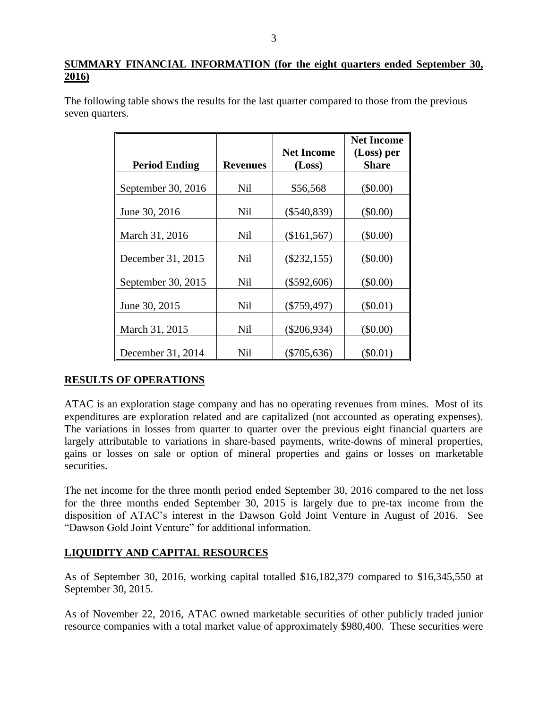## **SUMMARY FINANCIAL INFORMATION (for the eight quarters ended September 30, 2016)**

The following table shows the results for the last quarter compared to those from the previous seven quarters.

|                      |                 |                             | <b>Net Income</b>          |
|----------------------|-----------------|-----------------------------|----------------------------|
| <b>Period Ending</b> | <b>Revenues</b> | <b>Net Income</b><br>(Loss) | (Loss) per<br><b>Share</b> |
| September 30, 2016   | <b>Nil</b>      | \$56,568                    | (\$0.00)                   |
| June 30, 2016        | <b>Nil</b>      | $(\$540,839)$               | (\$0.00)                   |
| March 31, 2016       | <b>Nil</b>      | (\$161,567)                 | (\$0.00)                   |
| December 31, 2015    | <b>Nil</b>      | $(\$232,155)$               | $(\$0.00)$                 |
| September 30, 2015   | Nil             | $(\$592,606)$               | (\$0.00)                   |
| June 30, 2015        | <b>Nil</b>      | $(\$759,497)$               | $(\$0.01)$                 |
| March 31, 2015       | <b>Nil</b>      | $(\$206,934)$               | (\$0.00)                   |
| December 31, 2014    | Nil             | (\$705,636)                 | $(\$0.01)$                 |

## **RESULTS OF OPERATIONS**

ATAC is an exploration stage company and has no operating revenues from mines. Most of its expenditures are exploration related and are capitalized (not accounted as operating expenses). The variations in losses from quarter to quarter over the previous eight financial quarters are largely attributable to variations in share-based payments, write-downs of mineral properties, gains or losses on sale or option of mineral properties and gains or losses on marketable securities.

The net income for the three month period ended September 30, 2016 compared to the net loss for the three months ended September 30, 2015 is largely due to pre-tax income from the disposition of ATAC's interest in the Dawson Gold Joint Venture in August of 2016. See "Dawson Gold Joint Venture" for additional information.

## **LIQUIDITY AND CAPITAL RESOURCES**

As of September 30, 2016, working capital totalled \$16,182,379 compared to \$16,345,550 at September 30, 2015.

As of November 22, 2016, ATAC owned marketable securities of other publicly traded junior resource companies with a total market value of approximately \$980,400. These securities were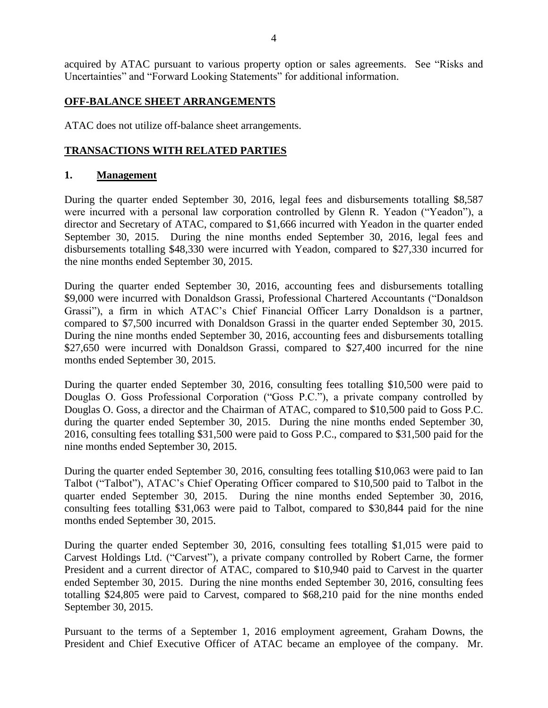acquired by ATAC pursuant to various property option or sales agreements. See "Risks and Uncertainties" and "Forward Looking Statements" for additional information.

### **OFF-BALANCE SHEET ARRANGEMENTS**

ATAC does not utilize off-balance sheet arrangements.

#### **TRANSACTIONS WITH RELATED PARTIES**

#### **1. Management**

During the quarter ended September 30, 2016, legal fees and disbursements totalling \$8,587 were incurred with a personal law corporation controlled by Glenn R. Yeadon ("Yeadon"), a director and Secretary of ATAC, compared to \$1,666 incurred with Yeadon in the quarter ended September 30, 2015. During the nine months ended September 30, 2016, legal fees and disbursements totalling \$48,330 were incurred with Yeadon, compared to \$27,330 incurred for the nine months ended September 30, 2015.

During the quarter ended September 30, 2016, accounting fees and disbursements totalling \$9,000 were incurred with Donaldson Grassi, Professional Chartered Accountants ("Donaldson Grassi"), a firm in which ATAC's Chief Financial Officer Larry Donaldson is a partner, compared to \$7,500 incurred with Donaldson Grassi in the quarter ended September 30, 2015. During the nine months ended September 30, 2016, accounting fees and disbursements totalling \$27,650 were incurred with Donaldson Grassi, compared to \$27,400 incurred for the nine months ended September 30, 2015.

During the quarter ended September 30, 2016, consulting fees totalling \$10,500 were paid to Douglas O. Goss Professional Corporation ("Goss P.C."), a private company controlled by Douglas O. Goss, a director and the Chairman of ATAC, compared to \$10,500 paid to Goss P.C. during the quarter ended September 30, 2015. During the nine months ended September 30, 2016, consulting fees totalling \$31,500 were paid to Goss P.C., compared to \$31,500 paid for the nine months ended September 30, 2015.

During the quarter ended September 30, 2016, consulting fees totalling \$10,063 were paid to Ian Talbot ("Talbot"), ATAC's Chief Operating Officer compared to \$10,500 paid to Talbot in the quarter ended September 30, 2015. During the nine months ended September 30, 2016, consulting fees totalling \$31,063 were paid to Talbot, compared to \$30,844 paid for the nine months ended September 30, 2015.

During the quarter ended September 30, 2016, consulting fees totalling \$1,015 were paid to Carvest Holdings Ltd. ("Carvest"), a private company controlled by Robert Carne, the former President and a current director of ATAC, compared to \$10,940 paid to Carvest in the quarter ended September 30, 2015. During the nine months ended September 30, 2016, consulting fees totalling \$24,805 were paid to Carvest, compared to \$68,210 paid for the nine months ended September 30, 2015.

Pursuant to the terms of a September 1, 2016 employment agreement, Graham Downs, the President and Chief Executive Officer of ATAC became an employee of the company. Mr.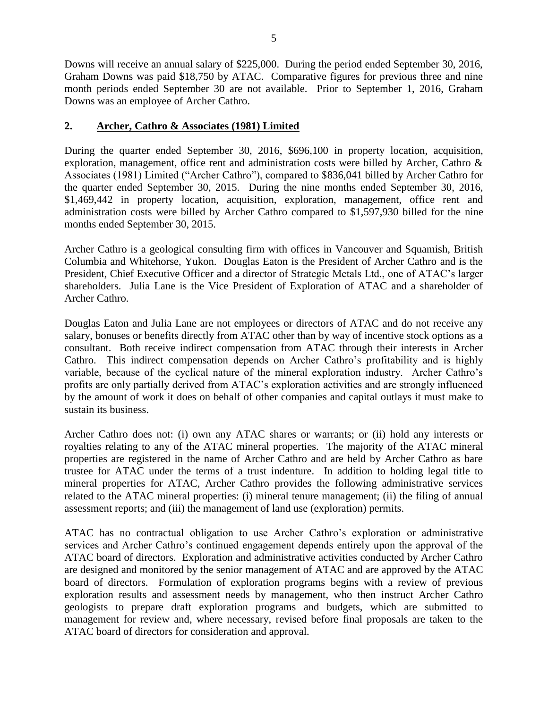Downs will receive an annual salary of \$225,000. During the period ended September 30, 2016, Graham Downs was paid \$18,750 by ATAC. Comparative figures for previous three and nine month periods ended September 30 are not available. Prior to September 1, 2016, Graham Downs was an employee of Archer Cathro.

## **2. Archer, Cathro & Associates (1981) Limited**

During the quarter ended September 30, 2016, \$696,100 in property location, acquisition, exploration, management, office rent and administration costs were billed by Archer, Cathro & Associates (1981) Limited ("Archer Cathro"), compared to \$836,041 billed by Archer Cathro for the quarter ended September 30, 2015. During the nine months ended September 30, 2016, \$1,469,442 in property location, acquisition, exploration, management, office rent and administration costs were billed by Archer Cathro compared to \$1,597,930 billed for the nine months ended September 30, 2015.

Archer Cathro is a geological consulting firm with offices in Vancouver and Squamish, British Columbia and Whitehorse, Yukon. Douglas Eaton is the President of Archer Cathro and is the President, Chief Executive Officer and a director of Strategic Metals Ltd., one of ATAC's larger shareholders. Julia Lane is the Vice President of Exploration of ATAC and a shareholder of Archer Cathro.

Douglas Eaton and Julia Lane are not employees or directors of ATAC and do not receive any salary, bonuses or benefits directly from ATAC other than by way of incentive stock options as a consultant. Both receive indirect compensation from ATAC through their interests in Archer Cathro. This indirect compensation depends on Archer Cathro's profitability and is highly variable, because of the cyclical nature of the mineral exploration industry. Archer Cathro's profits are only partially derived from ATAC's exploration activities and are strongly influenced by the amount of work it does on behalf of other companies and capital outlays it must make to sustain its business.

Archer Cathro does not: (i) own any ATAC shares or warrants; or (ii) hold any interests or royalties relating to any of the ATAC mineral properties. The majority of the ATAC mineral properties are registered in the name of Archer Cathro and are held by Archer Cathro as bare trustee for ATAC under the terms of a trust indenture. In addition to holding legal title to mineral properties for ATAC, Archer Cathro provides the following administrative services related to the ATAC mineral properties: (i) mineral tenure management; (ii) the filing of annual assessment reports; and (iii) the management of land use (exploration) permits.

ATAC has no contractual obligation to use Archer Cathro's exploration or administrative services and Archer Cathro's continued engagement depends entirely upon the approval of the ATAC board of directors. Exploration and administrative activities conducted by Archer Cathro are designed and monitored by the senior management of ATAC and are approved by the ATAC board of directors. Formulation of exploration programs begins with a review of previous exploration results and assessment needs by management, who then instruct Archer Cathro geologists to prepare draft exploration programs and budgets, which are submitted to management for review and, where necessary, revised before final proposals are taken to the ATAC board of directors for consideration and approval.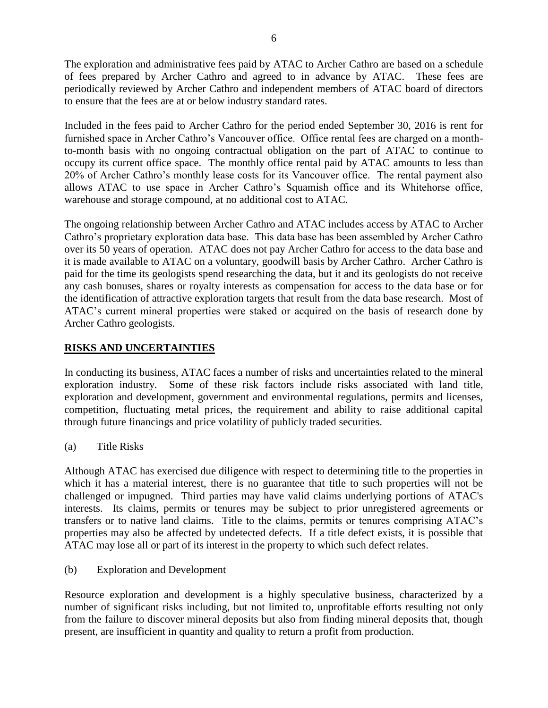The exploration and administrative fees paid by ATAC to Archer Cathro are based on a schedule of fees prepared by Archer Cathro and agreed to in advance by ATAC. These fees are periodically reviewed by Archer Cathro and independent members of ATAC board of directors to ensure that the fees are at or below industry standard rates.

Included in the fees paid to Archer Cathro for the period ended September 30, 2016 is rent for furnished space in Archer Cathro's Vancouver office. Office rental fees are charged on a monthto-month basis with no ongoing contractual obligation on the part of ATAC to continue to occupy its current office space. The monthly office rental paid by ATAC amounts to less than 20% of Archer Cathro's monthly lease costs for its Vancouver office. The rental payment also allows ATAC to use space in Archer Cathro's Squamish office and its Whitehorse office, warehouse and storage compound, at no additional cost to ATAC.

The ongoing relationship between Archer Cathro and ATAC includes access by ATAC to Archer Cathro's proprietary exploration data base. This data base has been assembled by Archer Cathro over its 50 years of operation. ATAC does not pay Archer Cathro for access to the data base and it is made available to ATAC on a voluntary, goodwill basis by Archer Cathro. Archer Cathro is paid for the time its geologists spend researching the data, but it and its geologists do not receive any cash bonuses, shares or royalty interests as compensation for access to the data base or for the identification of attractive exploration targets that result from the data base research. Most of ATAC's current mineral properties were staked or acquired on the basis of research done by Archer Cathro geologists.

## **RISKS AND UNCERTAINTIES**

In conducting its business, ATAC faces a number of risks and uncertainties related to the mineral exploration industry. Some of these risk factors include risks associated with land title, exploration and development, government and environmental regulations, permits and licenses, competition, fluctuating metal prices, the requirement and ability to raise additional capital through future financings and price volatility of publicly traded securities.

(a) Title Risks

Although ATAC has exercised due diligence with respect to determining title to the properties in which it has a material interest, there is no guarantee that title to such properties will not be challenged or impugned. Third parties may have valid claims underlying portions of ATAC's interests. Its claims, permits or tenures may be subject to prior unregistered agreements or transfers or to native land claims. Title to the claims, permits or tenures comprising ATAC's properties may also be affected by undetected defects. If a title defect exists, it is possible that ATAC may lose all or part of its interest in the property to which such defect relates.

(b) Exploration and Development

Resource exploration and development is a highly speculative business, characterized by a number of significant risks including, but not limited to, unprofitable efforts resulting not only from the failure to discover mineral deposits but also from finding mineral deposits that, though present, are insufficient in quantity and quality to return a profit from production.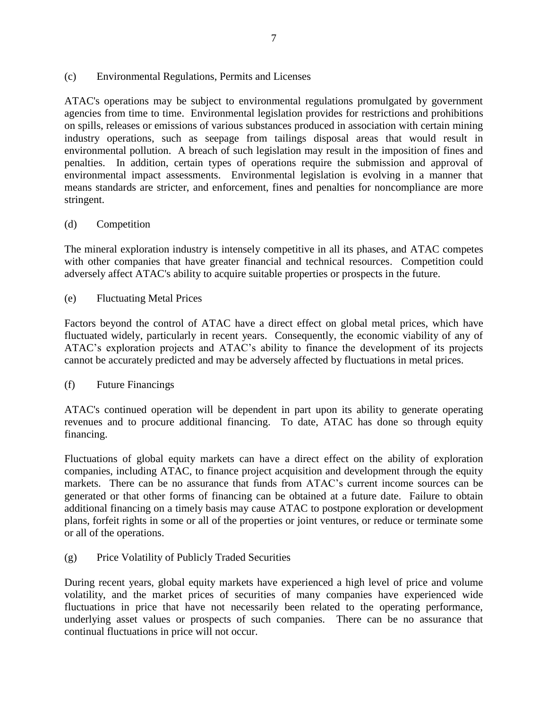#### (c) Environmental Regulations, Permits and Licenses

ATAC's operations may be subject to environmental regulations promulgated by government agencies from time to time. Environmental legislation provides for restrictions and prohibitions on spills, releases or emissions of various substances produced in association with certain mining industry operations, such as seepage from tailings disposal areas that would result in environmental pollution. A breach of such legislation may result in the imposition of fines and penalties. In addition, certain types of operations require the submission and approval of environmental impact assessments. Environmental legislation is evolving in a manner that means standards are stricter, and enforcement, fines and penalties for noncompliance are more stringent.

### (d) Competition

The mineral exploration industry is intensely competitive in all its phases, and ATAC competes with other companies that have greater financial and technical resources. Competition could adversely affect ATAC's ability to acquire suitable properties or prospects in the future.

(e) Fluctuating Metal Prices

Factors beyond the control of ATAC have a direct effect on global metal prices, which have fluctuated widely, particularly in recent years. Consequently, the economic viability of any of ATAC's exploration projects and ATAC's ability to finance the development of its projects cannot be accurately predicted and may be adversely affected by fluctuations in metal prices.

(f) Future Financings

ATAC's continued operation will be dependent in part upon its ability to generate operating revenues and to procure additional financing. To date, ATAC has done so through equity financing.

Fluctuations of global equity markets can have a direct effect on the ability of exploration companies, including ATAC, to finance project acquisition and development through the equity markets. There can be no assurance that funds from ATAC's current income sources can be generated or that other forms of financing can be obtained at a future date. Failure to obtain additional financing on a timely basis may cause ATAC to postpone exploration or development plans, forfeit rights in some or all of the properties or joint ventures, or reduce or terminate some or all of the operations.

(g) Price Volatility of Publicly Traded Securities

During recent years, global equity markets have experienced a high level of price and volume volatility, and the market prices of securities of many companies have experienced wide fluctuations in price that have not necessarily been related to the operating performance, underlying asset values or prospects of such companies. There can be no assurance that continual fluctuations in price will not occur.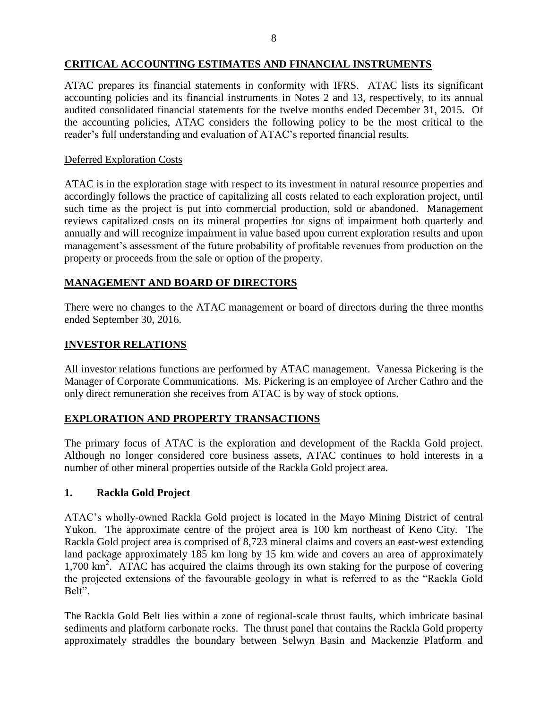## **CRITICAL ACCOUNTING ESTIMATES AND FINANCIAL INSTRUMENTS**

ATAC prepares its financial statements in conformity with IFRS. ATAC lists its significant accounting policies and its financial instruments in Notes 2 and 13, respectively, to its annual audited consolidated financial statements for the twelve months ended December 31, 2015. Of the accounting policies, ATAC considers the following policy to be the most critical to the reader's full understanding and evaluation of ATAC's reported financial results.

## Deferred Exploration Costs

ATAC is in the exploration stage with respect to its investment in natural resource properties and accordingly follows the practice of capitalizing all costs related to each exploration project, until such time as the project is put into commercial production, sold or abandoned. Management reviews capitalized costs on its mineral properties for signs of impairment both quarterly and annually and will recognize impairment in value based upon current exploration results and upon management's assessment of the future probability of profitable revenues from production on the property or proceeds from the sale or option of the property.

# **MANAGEMENT AND BOARD OF DIRECTORS**

There were no changes to the ATAC management or board of directors during the three months ended September 30, 2016.

## **INVESTOR RELATIONS**

All investor relations functions are performed by ATAC management. Vanessa Pickering is the Manager of Corporate Communications. Ms. Pickering is an employee of Archer Cathro and the only direct remuneration she receives from ATAC is by way of stock options.

## **EXPLORATION AND PROPERTY TRANSACTIONS**

The primary focus of ATAC is the exploration and development of the Rackla Gold project. Although no longer considered core business assets, ATAC continues to hold interests in a number of other mineral properties outside of the Rackla Gold project area.

## **1. Rackla Gold Project**

ATAC's wholly-owned Rackla Gold project is located in the Mayo Mining District of central Yukon. The approximate centre of the project area is 100 km northeast of Keno City. The Rackla Gold project area is comprised of 8,723 mineral claims and covers an east-west extending land package approximately 185 km long by 15 km wide and covers an area of approximately 1,700 km<sup>2</sup>. ATAC has acquired the claims through its own staking for the purpose of covering the projected extensions of the favourable geology in what is referred to as the "Rackla Gold Belt".

The Rackla Gold Belt lies within a zone of regional-scale thrust faults, which imbricate basinal sediments and platform carbonate rocks. The thrust panel that contains the Rackla Gold property approximately straddles the boundary between Selwyn Basin and Mackenzie Platform and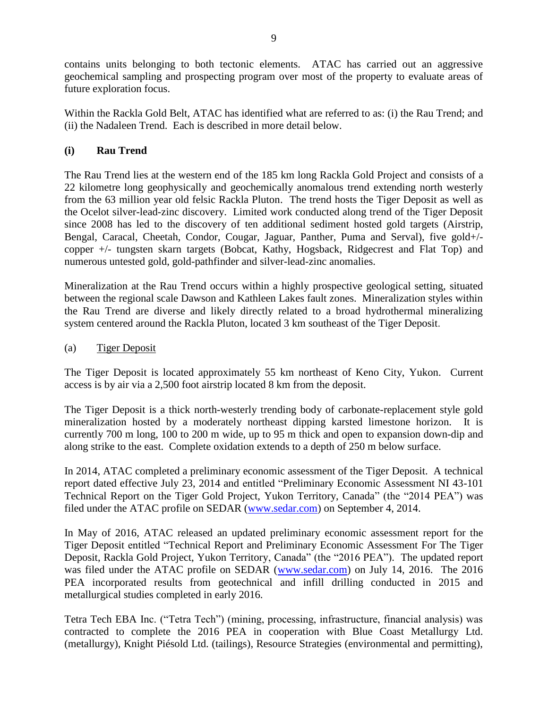contains units belonging to both tectonic elements. ATAC has carried out an aggressive geochemical sampling and prospecting program over most of the property to evaluate areas of future exploration focus.

Within the Rackla Gold Belt, ATAC has identified what are referred to as: (i) the Rau Trend; and (ii) the Nadaleen Trend. Each is described in more detail below.

## **(i) Rau Trend**

The [Rau Trend](http://www.atacresources.com/projects/rackla/rau-trend) lies at the western end of the 185 km long Rackla Gold Project and consists of a 22 kilometre long geophysically and geochemically anomalous trend extending north westerly from the 63 million year old felsic Rackla Pluton. The trend hosts the Tiger Deposit as well as the Ocelot silver-lead-zinc discovery. Limited work conducted along trend of the Tiger Deposit since 2008 has led to the discovery of ten additional sediment hosted gold targets (Airstrip, Bengal, Caracal, Cheetah, Condor, Cougar, Jaguar, Panther, Puma and Serval), five gold+/ copper +/- tungsten skarn targets (Bobcat, Kathy, Hogsback, Ridgecrest and Flat Top) and numerous untested gold, gold-pathfinder and silver-lead-zinc anomalies.

Mineralization at the Rau Trend occurs within a highly prospective geological setting, situated between the regional scale Dawson and Kathleen Lakes fault zones. Mineralization styles within the Rau Trend are diverse and likely directly related to a broad hydrothermal mineralizing system centered around the Rackla Pluton, located 3 km southeast of the Tiger Deposit.

## (a) Tiger Deposit

The Tiger Deposit is located approximately 55 km northeast of Keno City, Yukon. Current access is by air via a 2,500 foot airstrip located 8 km from the deposit.

The Tiger Deposit is a thick north-westerly trending body of carbonate-replacement style gold mineralization hosted by a moderately northeast dipping karsted limestone horizon. It is currently 700 m long, 100 to 200 m wide, up to 95 m thick and open to expansion down-dip and along strike to the east. Complete oxidation extends to a depth of 250 m below surface.

In 2014, ATAC completed a preliminary economic assessment of the Tiger Deposit. A technical report dated effective July 23, 2014 and entitled "Preliminary Economic Assessment NI 43-101 Technical Report on the Tiger Gold Project, Yukon Territory, Canada" (the "2014 PEA") was filed under the ATAC profile on SEDAR [\(www.sedar.com\)](http://www.sedar.com/) on September 4, 2014.

In May of 2016, ATAC released an updated preliminary economic assessment report for the Tiger Deposit entitled "Technical Report and Preliminary Economic Assessment For The Tiger Deposit, Rackla Gold Project, Yukon Territory, Canada" (the "2016 PEA"). The updated report was filed under the ATAC profile on SEDAR [\(www.sedar.com\)](http://www.sedar.com/) on July 14, 2016. The 2016 PEA incorporated results from geotechnical and infill drilling conducted in 2015 and metallurgical studies completed in early 2016.

Tetra Tech EBA Inc. ("Tetra Tech") (mining, processing, infrastructure, financial analysis) was contracted to complete the 2016 PEA in cooperation with Blue Coast Metallurgy Ltd. (metallurgy), Knight Piésold Ltd. (tailings), Resource Strategies (environmental and permitting),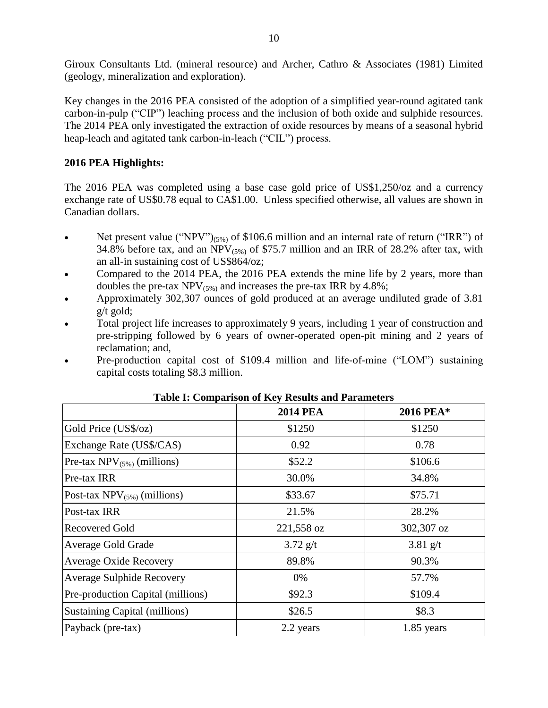Giroux Consultants Ltd. (mineral resource) and Archer, Cathro & Associates (1981) Limited (geology, mineralization and exploration).

Key changes in the 2016 PEA consisted of the adoption of a simplified year-round agitated tank carbon-in-pulp ("CIP") leaching process and the inclusion of both oxide and sulphide resources. The 2014 PEA only investigated the extraction of oxide resources by means of a seasonal hybrid heap-leach and agitated tank carbon-in-leach ("CIL") process.

### **2016 PEA Highlights:**

The 2016 PEA was completed using a base case gold price of US\$1,250/oz and a currency exchange rate of US\$0.78 equal to CA\$1.00. Unless specified otherwise, all values are shown in Canadian dollars.

- Net present value ("NPV") $_{(5\%)}$  of \$106.6 million and an internal rate of return ("IRR") of 34.8% before tax, and an NPV $_{(5\%)}$  of \$75.7 million and an IRR of 28.2% after tax, with an all-in sustaining cost of US\$864/oz;
- Compared to the 2014 PEA, the 2016 PEA extends the mine life by 2 years, more than doubles the pre-tax  $NPV_{(5\%)}$  and increases the pre-tax IRR by 4.8%;
- Approximately 302,307 ounces of gold produced at an average undiluted grade of 3.81 g/t gold;
- Total project life increases to approximately 9 years, including 1 year of construction and pre-stripping followed by 6 years of owner-operated open-pit mining and 2 years of reclamation; and,
- Pre-production capital cost of \$109.4 million and life-of-mine ("LOM") sustaining capital costs totaling \$8.3 million.

|                                      | <b>2014 PEA</b> | 2016 PEA*    |
|--------------------------------------|-----------------|--------------|
| Gold Price (US\$/oz)                 | \$1250          | \$1250       |
| Exchange Rate (US\$/CA\$)            | 0.92            | 0.78         |
| Pre-tax $NPV_{(5\%)}$ (millions)     | \$52.2          | \$106.6      |
| Pre-tax IRR                          | 30.0%           | 34.8%        |
| Post-tax $NPV_{(5\%)}$ (millions)    | \$33.67         | \$75.71      |
| Post-tax IRR                         | 21.5%           | 28.2%        |
| <b>Recovered Gold</b>                | 221,558 oz      | 302,307 oz   |
| <b>Average Gold Grade</b>            | $3.72$ g/t      | $3.81$ g/t   |
| <b>Average Oxide Recovery</b>        | 89.8%           | 90.3%        |
| Average Sulphide Recovery            | 0%              | 57.7%        |
| Pre-production Capital (millions)    | \$92.3          | \$109.4      |
| <b>Sustaining Capital (millions)</b> | \$26.5          | \$8.3        |
| Payback (pre-tax)                    | 2.2 years       | $1.85$ years |

**Table I: Comparison of Key Results and Parameters**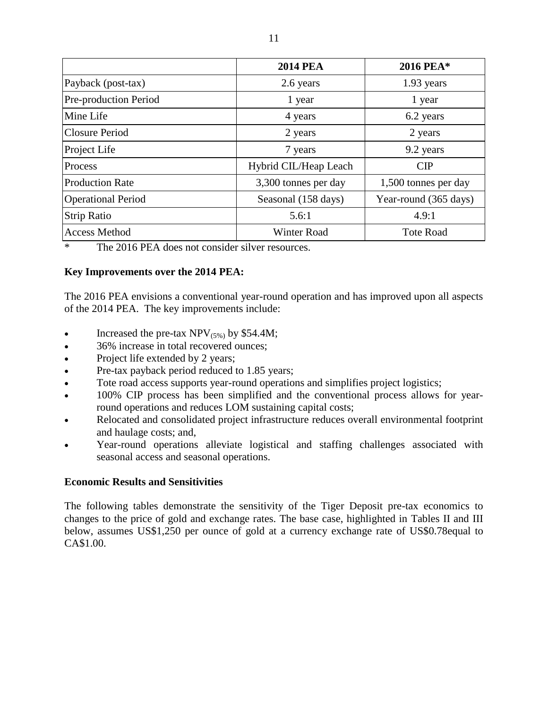|                           | <b>2014 PEA</b>       | 2016 PEA*             |
|---------------------------|-----------------------|-----------------------|
| Payback (post-tax)        | 2.6 years             | 1.93 years            |
| Pre-production Period     | 1 year                | 1 year                |
| Mine Life                 | 4 years               | 6.2 years             |
| <b>Closure Period</b>     | 2 years               | 2 years               |
| Project Life              | 7 years               | 9.2 years             |
| Process                   | Hybrid CIL/Heap Leach | CIP                   |
| <b>Production Rate</b>    | 3,300 tonnes per day  | 1,500 tonnes per day  |
| <b>Operational Period</b> | Seasonal (158 days)   | Year-round (365 days) |
| <b>Strip Ratio</b>        | 5.6:1                 | 4.9:1                 |
| <b>Access Method</b>      | <b>Winter Road</b>    | <b>Tote Road</b>      |

\* The 2016 PEA does not consider silver resources.

#### **Key Improvements over the 2014 PEA:**

The 2016 PEA envisions a conventional year-round operation and has improved upon all aspects of the 2014 PEA. The key improvements include:

- Increased the pre-tax  $NPV_{(5\%)}$  by \$54.4M;
- 36% increase in total recovered ounces;
- Project life extended by 2 years;
- Pre-tax payback period reduced to 1.85 years;
- Tote road access supports year-round operations and simplifies project logistics;
- 100% CIP process has been simplified and the conventional process allows for yearround operations and reduces LOM sustaining capital costs;
- Relocated and consolidated project infrastructure reduces overall environmental footprint and haulage costs; and,
- Year-round operations alleviate logistical and staffing challenges associated with seasonal access and seasonal operations.

#### **Economic Results and Sensitivities**

The following tables demonstrate the sensitivity of the Tiger Deposit pre-tax economics to changes to the price of gold and exchange rates. The base case, highlighted in Tables II and III below, assumes US\$1,250 per ounce of gold at a currency exchange rate of US\$0.78equal to CA\$1.00.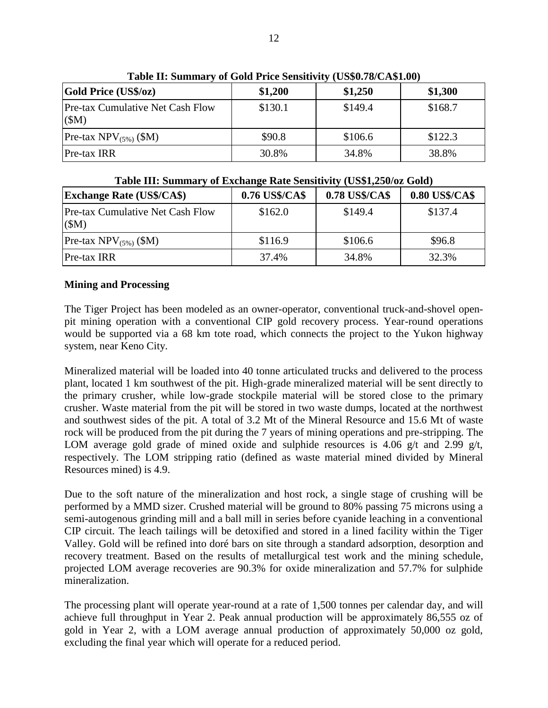| Table II. Building y of Gold Frice Bensitry (CD40.10/C/141.00) |         |         |         |
|----------------------------------------------------------------|---------|---------|---------|
| <b>Gold Price (US\$/oz)</b>                                    | \$1,200 | \$1,250 | \$1,300 |
| <b>Pre-tax Cumulative Net Cash Flow</b><br>(SM)                | \$130.1 | \$149.4 | \$168.7 |
| Pre-tax $NPV_{(5\%)}$ (\$M)                                    | \$90.8  | \$106.6 | \$122.3 |
| Pre-tax IRR                                                    | 30.8%   | 34.8%   | 38.8%   |

**Table II: Summary of Gold Price Sensitivity (US\$0.78/CA\$1.00)**

| Table III: Summary of Exchange Rate Sensitivity (US\$1,250/02 Gold) |                |                |                |  |  |  |
|---------------------------------------------------------------------|----------------|----------------|----------------|--|--|--|
| <b>Exchange Rate (US\$/CA\$)</b>                                    | 0.76 US\$/CA\$ | 0.78 US\$/CA\$ | 0.80 US\$/CA\$ |  |  |  |
| <b>Pre-tax Cumulative Net Cash Flow</b><br>(SM)                     | \$162.0        | \$149.4        | \$137.4        |  |  |  |
| Pre-tax $NPV_{(5\%)}$ (\$M)                                         | \$116.9        | \$106.6        | \$96.8         |  |  |  |
| Pre-tax IRR                                                         | 37.4%          | 34.8%          | 32.3%          |  |  |  |

**Table III: Summary of Exchange Rate Sensitivity (US\$1,250/oz Gold)**

#### **Mining and Processing**

The Tiger Project has been modeled as an owner-operator, conventional truck-and-shovel openpit mining operation with a conventional CIP gold recovery process. Year-round operations would be supported via a 68 km tote road, which connects the project to the Yukon highway system, near Keno City.

Mineralized material will be loaded into 40 tonne articulated trucks and delivered to the process plant, located 1 km southwest of the pit. High-grade mineralized material will be sent directly to the primary crusher, while low-grade stockpile material will be stored close to the primary crusher. Waste material from the pit will be stored in two waste dumps, located at the northwest and southwest sides of the pit. A total of 3.2 Mt of the Mineral Resource and 15.6 Mt of waste rock will be produced from the pit during the 7 years of mining operations and pre-stripping. The LOM average gold grade of mined oxide and sulphide resources is 4.06 g/t and 2.99 g/t, respectively. The LOM stripping ratio (defined as waste material mined divided by Mineral Resources mined) is 4.9.

Due to the soft nature of the mineralization and host rock, a single stage of crushing will be performed by a MMD sizer. Crushed material will be ground to 80% passing 75 microns using a semi-autogenous grinding mill and a ball mill in series before cyanide leaching in a conventional CIP circuit. The leach tailings will be detoxified and stored in a lined facility within the Tiger Valley. Gold will be refined into doré bars on site through a standard adsorption, desorption and recovery treatment. Based on the results of metallurgical test work and the mining schedule, projected LOM average recoveries are 90.3% for oxide mineralization and 57.7% for sulphide mineralization.

The processing plant will operate year-round at a rate of 1,500 tonnes per calendar day, and will achieve full throughput in Year 2. Peak annual production will be approximately 86,555 oz of gold in Year 2, with a LOM average annual production of approximately 50,000 oz gold, excluding the final year which will operate for a reduced period.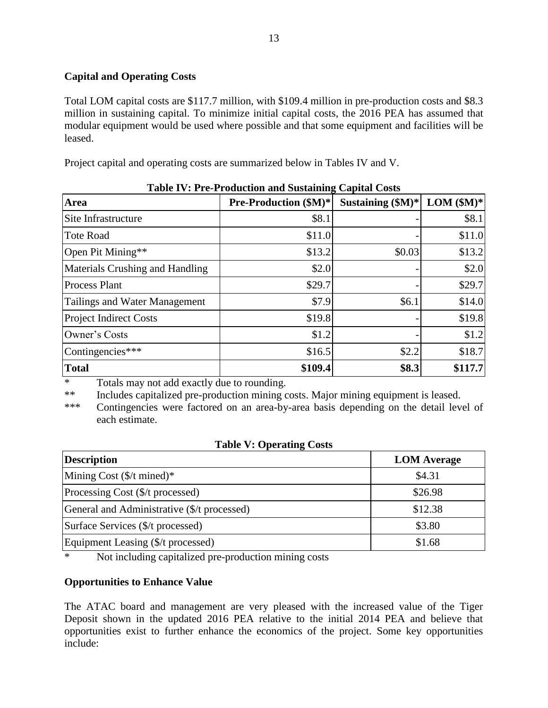## **Capital and Operating Costs**

Total LOM capital costs are \$117.7 million, with \$109.4 million in pre-production costs and \$8.3 million in sustaining capital. To minimize initial capital costs, the 2016 PEA has assumed that modular equipment would be used where possible and that some equipment and facilities will be leased.

Project capital and operating costs are summarized below in Tables IV and V.

| <b>Area</b>                     | <b>Pre-Production (\$M)*</b> | Sustaining $(M)^*$ | $LOM$ (\$M)* |
|---------------------------------|------------------------------|--------------------|--------------|
| Site Infrastructure             | \$8.1                        |                    | \$8.1        |
| Tote Road                       | \$11.0                       |                    | \$11.0       |
| Open Pit Mining**               | \$13.2                       | \$0.03             | \$13.2       |
| Materials Crushing and Handling | \$2.0                        |                    | \$2.0        |
| <b>Process Plant</b>            | \$29.7                       |                    | \$29.7       |
| Tailings and Water Management   | \$7.9                        | \$6.1              | \$14.0       |
| <b>Project Indirect Costs</b>   | \$19.8                       |                    | \$19.8       |
| Owner's Costs                   | \$1.2                        |                    | \$1.2        |
| Contingencies***                | \$16.5                       | \$2.2              | \$18.7       |
| <b>Total</b>                    | \$109.4                      | \$8.3              | \$117.7      |

**Table IV: Pre-Production and Sustaining Capital Costs**

\* Totals may not add exactly due to rounding.

\*\* Includes capitalized pre-production mining costs. Major mining equipment is leased.

\*\*\* Contingencies were factored on an area-by-area basis depending on the detail level of each estimate.

#### **Table V: Operating Costs**

| <b>Description</b>                          | <b>LOM</b> Average |
|---------------------------------------------|--------------------|
| Mining Cost $(\frac{1}{2})$ mined)*         | \$4.31             |
| Processing Cost (\$/t processed)            | \$26.98            |
| General and Administrative (\$/t processed) | \$12.38            |
| Surface Services (\$/t processed)           | \$3.80             |
| Equipment Leasing (\$/t processed)          | \$1.68             |

\* Not including capitalized pre-production mining costs

## **Opportunities to Enhance Value**

The ATAC board and management are very pleased with the increased value of the Tiger Deposit shown in the updated 2016 PEA relative to the initial 2014 PEA and believe that opportunities exist to further enhance the economics of the project. Some key opportunities include: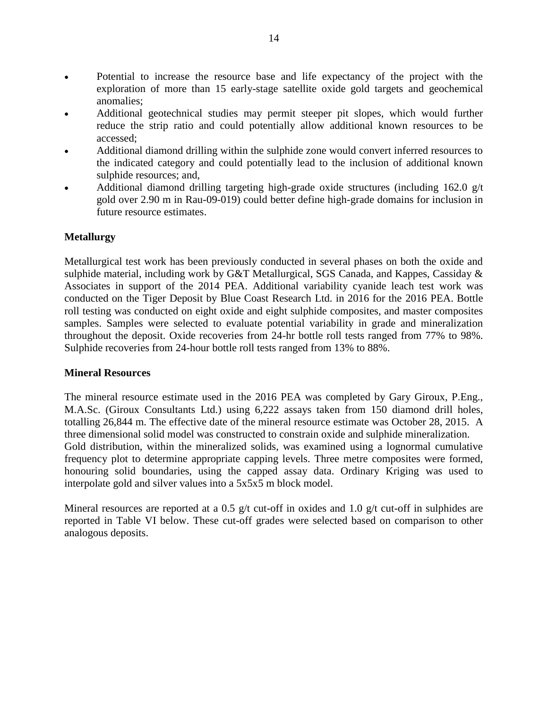- Potential to increase the resource base and life expectancy of the project with the exploration of more than 15 early-stage satellite oxide gold targets and geochemical anomalies;
- Additional geotechnical studies may permit steeper pit slopes, which would further reduce the strip ratio and could potentially allow additional known resources to be accessed;
- Additional diamond drilling within the sulphide zone would convert inferred resources to the indicated category and could potentially lead to the inclusion of additional known sulphide resources; and,
- Additional diamond drilling targeting high-grade oxide structures (including 162.0 g/t gold over 2.90 m in Rau-09-019) could better define high-grade domains for inclusion in future resource estimates.

### **Metallurgy**

Metallurgical test work has been previously conducted in several phases on both the oxide and sulphide material, including work by G&T Metallurgical, SGS Canada, and Kappes, Cassiday & Associates in support of the 2014 PEA. Additional variability cyanide leach test work was conducted on the Tiger Deposit by Blue Coast Research Ltd. in 2016 for the 2016 PEA. Bottle roll testing was conducted on eight oxide and eight sulphide composites, and master composites samples. Samples were selected to evaluate potential variability in grade and mineralization throughout the deposit. Oxide recoveries from 24-hr bottle roll tests ranged from 77% to 98%. Sulphide recoveries from 24-hour bottle roll tests ranged from 13% to 88%.

#### **Mineral Resources**

The mineral resource estimate used in the 2016 PEA was completed by Gary Giroux, P.Eng., M.A.Sc. (Giroux Consultants Ltd.) using 6,222 assays taken from 150 diamond drill holes, totalling 26,844 m. The effective date of the mineral resource estimate was October 28, 2015. A three dimensional solid model was constructed to constrain oxide and sulphide mineralization. Gold distribution, within the mineralized solids, was examined using a lognormal cumulative frequency plot to determine appropriate capping levels. Three metre composites were formed, honouring solid boundaries, using the capped assay data. Ordinary Kriging was used to interpolate gold and silver values into a 5x5x5 m block model.

Mineral resources are reported at a 0.5 g/t cut-off in oxides and 1.0 g/t cut-off in sulphides are reported in Table VI below. These cut-off grades were selected based on comparison to other analogous deposits.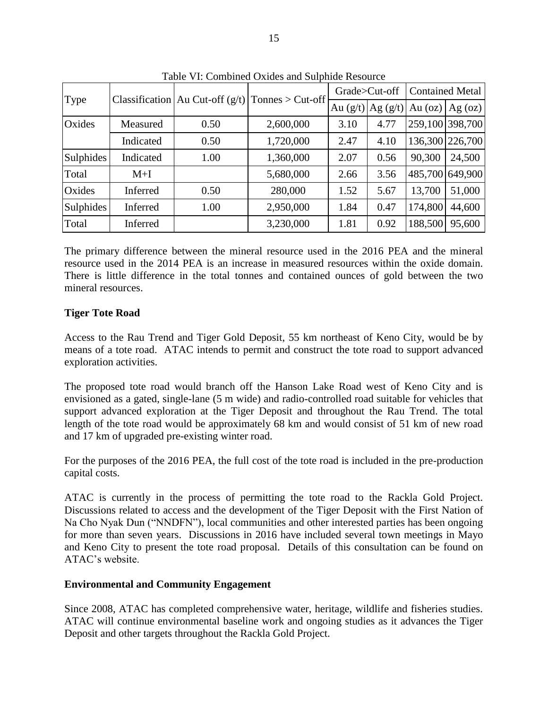| Tuble vil. Combined Oxfues and Buildings Resource |           |                                     |                    |                       |      |                        |                 |
|---------------------------------------------------|-----------|-------------------------------------|--------------------|-----------------------|------|------------------------|-----------------|
| Type                                              |           | Classification   Au Cut-off $(g/t)$ | $Tonnes > Cut-off$ | Grade>Cut-off         |      | <b>Contained Metal</b> |                 |
|                                                   |           |                                     |                    | Au $(g/t)$ $Ag (g/t)$ |      | Au $(oz)$              | Ag $(oz)$       |
| Oxides                                            | Measured  | 0.50                                | 2,600,000          | 3.10                  | 4.77 |                        | 259,100 398,700 |
|                                                   | Indicated | 0.50                                | 1,720,000          | 2.47                  | 4.10 |                        | 136,300 226,700 |
| <b>Sulphides</b>                                  | Indicated | 1.00                                | 1,360,000          | 2.07                  | 0.56 | 90,300                 | 24,500          |
| Total                                             | $M+I$     |                                     | 5,680,000          | 2.66                  | 3.56 | 485,700                | 649,900         |
| Oxides                                            | Inferred  | 0.50                                | 280,000            | 1.52                  | 5.67 | 13,700                 | 51,000          |
| <b>Sulphides</b>                                  | Inferred  | 1.00                                | 2,950,000          | 1.84                  | 0.47 | 174,800                | 44,600          |
| Total                                             | Inferred  |                                     | 3,230,000          | 1.81                  | 0.92 | 188,500                | 95,600          |

Table VI: Combined Oxides and Sulphide Resource

The primary difference between the mineral resource used in the 2016 PEA and the mineral resource used in the 2014 PEA is an increase in measured resources within the oxide domain. There is little difference in the total tonnes and contained ounces of gold between the two mineral resources.

### **Tiger Tote Road**

Access to the Rau Trend and Tiger Gold Deposit, 55 km northeast of Keno City, would be by means of a tote road. ATAC intends to permit and construct the tote road to support advanced exploration activities.

The proposed tote road would branch off the Hanson Lake Road west of Keno City and is envisioned as a gated, single-lane (5 m wide) and radio-controlled road suitable for vehicles that support advanced exploration at the Tiger Deposit and throughout the Rau Trend. The total length of the tote road would be approximately 68 km and would consist of 51 km of new road and 17 km of upgraded pre-existing winter road.

For the purposes of the 2016 PEA, the full cost of the tote road is included in the pre-production capital costs.

ATAC is currently in the process of permitting the tote road to the Rackla Gold Project. Discussions related to access and the development of the Tiger Deposit with the First Nation of Na Cho Nyak Dun ("NNDFN"), local communities and other interested parties has been ongoing for more than seven years. Discussions in 2016 have included several town meetings in Mayo and Keno City to present the tote road proposal. Details of this consultation can be found on ATAC's website.

#### **Environmental and Community Engagement**

Since 2008, ATAC has completed comprehensive water, heritage, wildlife and fisheries studies. ATAC will continue environmental baseline work and ongoing studies as it advances the Tiger Deposit and other targets throughout the Rackla Gold Project.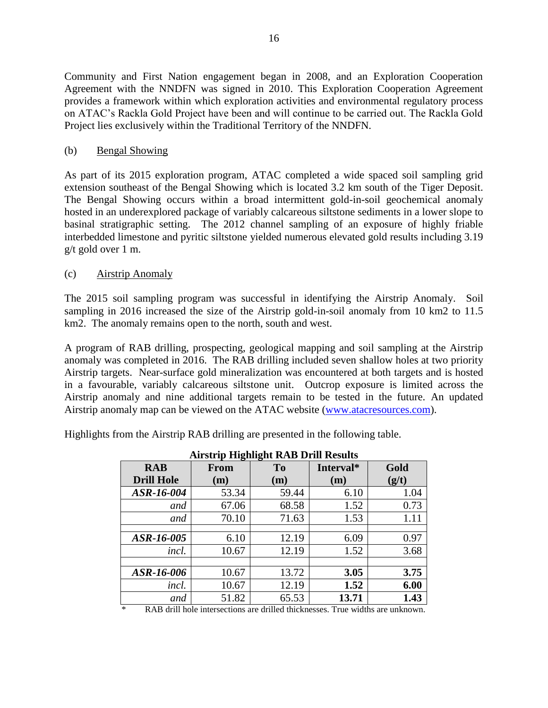Community and First Nation engagement began in 2008, and an Exploration Cooperation Agreement with the NNDFN was signed in 2010. This Exploration Cooperation Agreement provides a framework within which exploration activities and environmental regulatory process on ATAC's Rackla Gold Project have been and will continue to be carried out. The Rackla Gold Project lies exclusively within the Traditional Territory of the NNDFN.

### (b) Bengal Showing

As part of its 2015 exploration program, ATAC completed a wide spaced soil sampling grid extension southeast of [the Bengal Showing](http://www.atacresources.com/assets/img/2012-bengal-trench.pdf) which is located 3.2 km south of the [Tiger Deposit.](http://www.atacresources.com/projects/rackla/rau-trend/tiger-deposit) The Bengal Showing occurs within a broad intermittent gold-in-soil geochemical anomaly hosted in an underexplored package of variably calcareous siltstone sediments in a lower slope to basinal stratigraphic setting. The 2012 channel sampling of an exposure of highly friable interbedded limestone and pyritic siltstone yielded numerous elevated gold results including 3.19 g/t gold over 1 m.

### (c) Airstrip Anomaly

The 2015 soil sampling program was successful in identifying the Airstrip Anomaly. Soil sampling in 2016 increased the size of the Airstrip gold-in-soil anomaly from 10 km2 to 11.5 km2. The anomaly remains open to the north, south and west.

A program of RAB drilling, prospecting, geological mapping and soil sampling at the Airstrip anomaly was completed in 2016. The RAB drilling included seven shallow holes at two priority Airstrip targets. Near-surface gold mineralization was encountered at both targets and is hosted in a favourable, variably calcareous siltstone unit. Outcrop exposure is limited across the Airstrip anomaly and nine additional targets remain to be tested in the future. An updated Airstrip anomaly map can be viewed on the ATAC website [\(www.atacresources.com\)](http://www.atacresources.com/).

Highlights from the Airstrip RAB drilling are presented in the following table.

| Airstrip Highlight KAB Drill Results |             |                |           |       |  |  |
|--------------------------------------|-------------|----------------|-----------|-------|--|--|
| <b>RAB</b>                           | <b>From</b> | T <sub>o</sub> | Interval* | Gold  |  |  |
| <b>Drill Hole</b>                    | (m)         | (m)            | (m)       | (g/t) |  |  |
| ASR-16-004                           | 53.34       | 59.44          | 6.10      | 1.04  |  |  |
| and                                  | 67.06       | 68.58          | 1.52      | 0.73  |  |  |
| and                                  | 70.10       | 71.63          | 1.53      | 1.11  |  |  |
|                                      |             |                |           |       |  |  |
| ASR-16-005                           | 6.10        | 12.19          | 6.09      | 0.97  |  |  |
| incl.                                | 10.67       | 12.19          | 1.52      | 3.68  |  |  |
|                                      |             |                |           |       |  |  |
| ASR-16-006                           | 10.67       | 13.72          | 3.05      | 3.75  |  |  |
| incl.                                | 10.67       | 12.19          | 1.52      | 6.00  |  |  |
| and                                  | 51.82       | 65.53          | 13.71     | 1.43  |  |  |

**Airstrip Highlight RAB Drill Results**

RAB drill hole intersections are drilled thicknesses. True widths are unknown.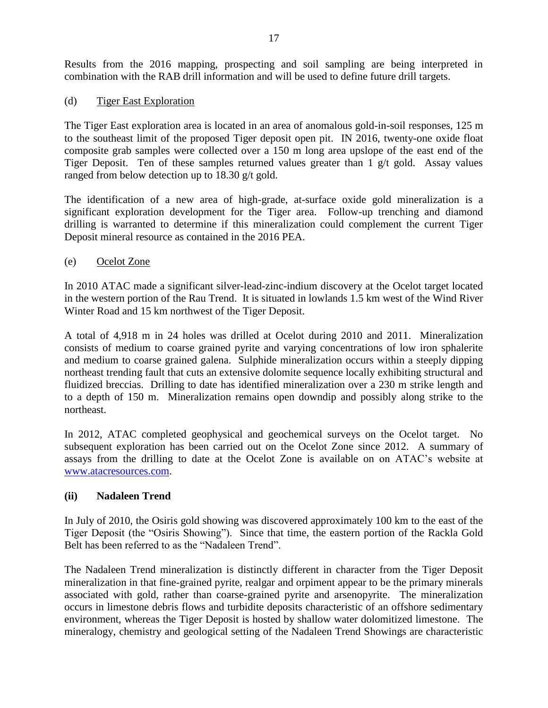Results from the 2016 mapping, prospecting and soil sampling are being interpreted in combination with the RAB drill information and will be used to define future drill targets.

### (d) Tiger East Exploration

The Tiger East exploration area is located in an area of anomalous gold-in-soil responses, 125 m to the southeast limit of the proposed Tiger deposit open pit. IN 2016, twenty-one oxide float composite grab samples were collected over a 150 m long area upslope of the east end of the Tiger Deposit. Ten of these samples returned values greater than 1 g/t gold. Assay values ranged from below detection up to 18.30 g/t gold.

The identification of a new area of high-grade, at-surface oxide gold mineralization is a significant exploration development for the Tiger area. Follow-up trenching and diamond drilling is warranted to determine if this mineralization could complement the current Tiger Deposit mineral resource as contained in the 2016 PEA.

### (e) Ocelot Zone

In 2010 ATAC made a significant silver-lead-zinc-indium discovery at the Ocelot target located in the western portion of the Rau Trend. It is situated in lowlands 1.5 km west of the Wind River Winter Road and 15 km northwest of the Tiger Deposit.

A total of 4,918 m in 24 holes was drilled at Ocelot during 2010 and 2011. Mineralization consists of medium to coarse grained pyrite and varying concentrations of low iron sphalerite and medium to coarse grained galena. Sulphide mineralization occurs within a steeply dipping northeast trending fault that cuts an extensive dolomite sequence locally exhibiting structural and fluidized breccias. Drilling to date has identified mineralization over a 230 m strike length and to a depth of 150 m. Mineralization remains open downdip and possibly along strike to the northeast.

In 2012, ATAC completed geophysical and geochemical surveys on the Ocelot target. No subsequent exploration has been carried out on the Ocelot Zone since 2012. A summary of assays from the drilling to date at the Ocelot Zone is available on on ATAC's website at [www.atacresources.com.](http://www.atacresources.com/news/news-releases/atac-resources-ltd-identifies-10-sq-km-gold-in-soil-anomaly-5-km-southeast-of-its-tiger-gold-deposit-rackla-gold-project-yukon)

#### **(ii) Nadaleen Trend**

In July of 2010, the Osiris gold showing was discovered approximately 100 km to the east of the Tiger Deposit (the "Osiris Showing"). Since that time, the eastern portion of the Rackla Gold Belt has been referred to as the "Nadaleen Trend".

The Nadaleen Trend mineralization is distinctly different in character from the Tiger Deposit mineralization in that fine-grained pyrite, realgar and orpiment appear to be the primary minerals associated with gold, rather than coarse-grained pyrite and arsenopyrite. The mineralization occurs in limestone debris flows and turbidite deposits characteristic of an offshore sedimentary environment, whereas the Tiger Deposit is hosted by shallow water dolomitized limestone. The mineralogy, chemistry and geological setting of the Nadaleen Trend Showings are characteristic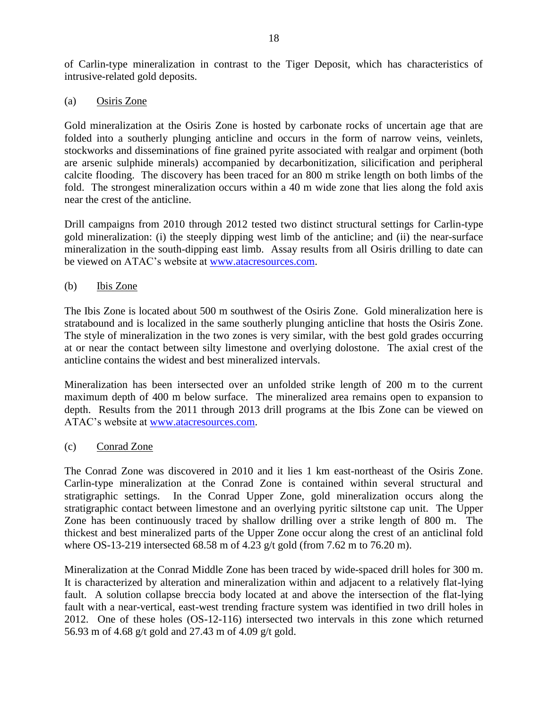of Carlin-type mineralization in contrast to the Tiger Deposit, which has characteristics of intrusive-related gold deposits.

(a) Osiris Zone

Gold mineralization at the Osiris Zone is hosted by carbonate rocks of uncertain age that are folded into a southerly plunging anticline and occurs in the form of narrow veins, veinlets, stockworks and disseminations of fine grained pyrite associated with realgar and orpiment (both are arsenic sulphide minerals) accompanied by decarbonitization, silicification and peripheral calcite flooding. The discovery has been traced for an 800 m strike length on both limbs of the fold. The strongest mineralization occurs within a 40 m wide zone that lies along the fold axis near the crest of the anticline.

Drill campaigns from 2010 through 2012 tested two distinct structural settings for Carlin-type gold mineralization: (i) the steeply dipping west limb of the anticline; and (ii) the near-surface mineralization in the south-dipping east limb. Assay results from all Osiris drilling to date can be viewed on ATAC's website at [www.atacresources.com.](http://www.atacresources.com/news/news-releases/atac-resources-ltd-identifies-10-sq-km-gold-in-soil-anomaly-5-km-southeast-of-its-tiger-gold-deposit-rackla-gold-project-yukon)

(b) Ibis Zone

The Ibis Zone is located about 500 m southwest of the Osiris Zone. Gold mineralization here is stratabound and is localized in the same southerly plunging anticline that hosts the Osiris Zone. The style of mineralization in the two zones is very similar, with the best gold grades occurring at or near the contact between silty limestone and overlying dolostone. The axial crest of the anticline contains the widest and best mineralized intervals.

Mineralization has been intersected over an unfolded strike length of 200 m to the current maximum depth of 400 m below surface. The mineralized area remains open to expansion to depth. Results from the 2011 through 2013 drill programs at the Ibis Zone can be viewed on ATAC's website at [www.atacresources.com.](http://www.atacresources.com/news/news-releases/atac-resources-ltd-identifies-10-sq-km-gold-in-soil-anomaly-5-km-southeast-of-its-tiger-gold-deposit-rackla-gold-project-yukon)

(c) Conrad Zone

The Conrad Zone was discovered in 2010 and it lies 1 km east-northeast of the Osiris Zone. Carlin-type mineralization at the Conrad Zone is contained within several structural and stratigraphic settings. In the Conrad Upper Zone, gold mineralization occurs along the stratigraphic contact between limestone and an overlying pyritic siltstone cap unit. The Upper Zone has been continuously traced by shallow drilling over a strike length of 800 m. The thickest and best mineralized parts of the Upper Zone occur along the crest of an anticlinal fold where OS-13-219 intersected 68.58 m of 4.23 g/t gold (from 7.62 m to 76.20 m).

Mineralization at the Conrad Middle Zone has been traced by wide-spaced drill holes for 300 m. It is characterized by alteration and mineralization within and adjacent to a relatively flat-lying fault. A solution collapse breccia body located at and above the intersection of the flat-lying fault with a near-vertical, east-west trending fracture system was identified in two drill holes in 2012. One of these holes (OS-12-116) intersected two intervals in this zone which returned 56.93 m of 4.68 g/t gold and 27.43 m of 4.09 g/t gold.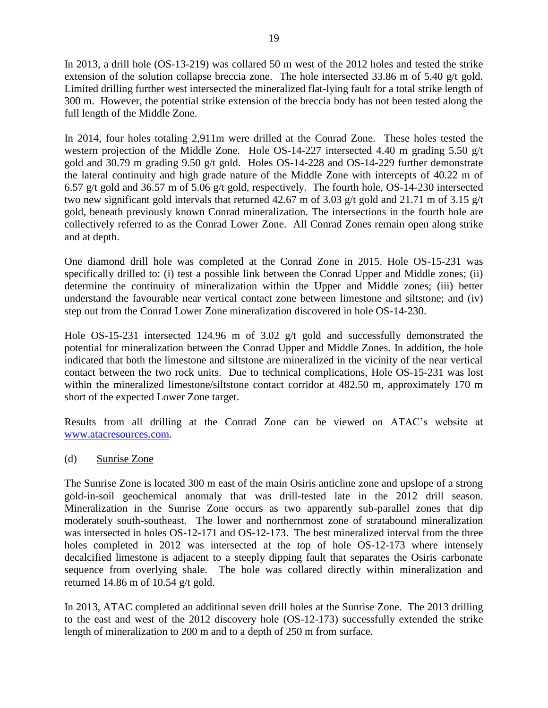In 2013, a drill hole (OS-13-219) was collared 50 m west of the 2012 holes and tested the strike extension of the solution collapse breccia zone. The hole intersected 33.86 m of 5.40 g/t gold. Limited drilling further west intersected the mineralized flat-lying fault for a total strike length of 300 m. However, the potential strike extension of the breccia body has not been tested along the full length of the Middle Zone.

In 2014, four holes totaling 2,911m were drilled at the Conrad Zone. These holes tested the western projection of the Middle Zone. Hole OS-14-227 intersected 4.40 m grading 5.50 g/t gold and 30.79 m grading 9.50 g/t gold. Holes OS-14-228 and OS-14-229 further demonstrate the lateral continuity and high grade nature of the Middle Zone with intercepts of 40.22 m of 6.57 g/t gold and 36.57 m of 5.06 g/t gold, respectively. The fourth hole, OS-14-230 intersected two new significant gold intervals that returned 42.67 m of 3.03 g/t gold and 21.71 m of 3.15 g/t gold, beneath previously known Conrad mineralization. The intersections in the fourth hole are collectively referred to as the Conrad Lower Zone. All Conrad Zones remain open along strike and at depth.

One diamond drill hole was completed at the Conrad Zone in 2015. Hole OS-15-231 was specifically drilled to: (i) test a possible link between the Conrad Upper and Middle zones; (ii) determine the continuity of mineralization within the Upper and Middle zones; (iii) better understand the favourable near vertical contact zone between limestone and siltstone; and (iv) step out from the Conrad Lower Zone mineralization discovered in hole OS-14-230.

Hole OS-15-231 intersected 124.96 m of 3.02 g/t gold and successfully demonstrated the potential for mineralization between the Conrad Upper and Middle Zones. In addition, the hole indicated that both the limestone and siltstone are mineralized in the vicinity of the near vertical contact between the two rock units. Due to technical complications, Hole OS-15-231 was lost within the mineralized limestone/siltstone contact corridor at 482.50 m, approximately 170 m short of the expected Lower Zone target.

Results from all drilling at the Conrad Zone can be viewed on ATAC's website at [www.atacresources.com.](http://www.atacresources.com/news/news-releases/atac-resources-ltd-identifies-10-sq-km-gold-in-soil-anomaly-5-km-southeast-of-its-tiger-gold-deposit-rackla-gold-project-yukon)

(d) Sunrise Zone

The Sunrise Zone is located 300 m east of the main Osiris anticline zone and upslope of a strong gold-in-soil geochemical anomaly that was drill-tested late in the 2012 drill season. Mineralization in the Sunrise Zone occurs as two apparently sub-parallel zones that dip moderately south-southeast. The lower and northernmost zone of stratabound mineralization was intersected in holes OS-12-171 and OS-12-173. The best mineralized interval from the three holes completed in 2012 was intersected at the top of hole OS-12-173 where intensely decalcified limestone is adjacent to a steeply dipping fault that separates the Osiris carbonate sequence from overlying shale. The hole was collared directly within mineralization and returned 14.86 m of 10.54 g/t gold.

In 2013, ATAC completed an additional seven drill holes at the Sunrise Zone. The 2013 drilling to the east and west of the 2012 discovery hole (OS-12-173) successfully extended the strike length of mineralization to 200 m and to a depth of 250 m from surface.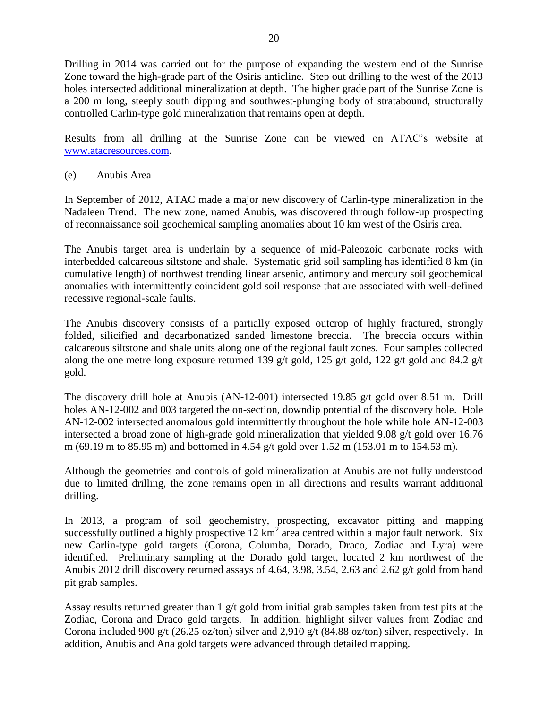Drilling in 2014 was carried out for the purpose of expanding the western end of the Sunrise Zone toward the high-grade part of the Osiris anticline. Step out drilling to the west of the 2013 holes intersected additional mineralization at depth. The higher grade part of the Sunrise Zone is a 200 m long, steeply south dipping and southwest-plunging body of stratabound, structurally controlled Carlin-type gold mineralization that remains open at depth.

Results from all drilling at the Sunrise Zone can be viewed on ATAC's website at [www.atacresources.com.](http://www.atacresources.com/news/news-releases/atac-resources-ltd-identifies-10-sq-km-gold-in-soil-anomaly-5-km-southeast-of-its-tiger-gold-deposit-rackla-gold-project-yukon)

(e) Anubis Area

In September of 2012, ATAC made a major new discovery of Carlin-type mineralization in the Nadaleen Trend. The new zone, named Anubis, was discovered through follow-up prospecting of reconnaissance soil geochemical sampling anomalies about 10 km west of the Osiris area.

The Anubis target area is underlain by a sequence of mid-Paleozoic carbonate rocks with interbedded calcareous siltstone and shale. Systematic grid soil sampling has identified 8 km (in cumulative length) of northwest trending linear arsenic, antimony and mercury soil geochemical anomalies with intermittently coincident gold soil response that are associated with well-defined recessive regional-scale faults.

The Anubis discovery consists of a partially exposed outcrop of highly fractured, strongly folded, silicified and decarbonatized sanded limestone breccia. The breccia occurs within calcareous siltstone and shale units along one of the regional fault zones. Four samples collected along the one metre long exposure returned 139 g/t gold, 125 g/t gold, 122 g/t gold and 84.2 g/t gold.

The discovery drill hole at Anubis (AN-12-001) intersected 19.85 g/t gold over 8.51 m. Drill holes AN-12-002 and 003 targeted the on-section, downdip potential of the discovery hole. Hole AN-12-002 intersected anomalous gold intermittently throughout the hole while hole AN-12-003 intersected a broad zone of high-grade gold mineralization that yielded 9.08 g/t gold over 16.76 m (69.19 m to 85.95 m) and bottomed in 4.54 g/t gold over 1.52 m (153.01 m to 154.53 m).

Although the geometries and controls of gold mineralization at Anubis are not fully understood due to limited drilling, the zone remains open in all directions and results warrant additional drilling.

In 2013, a program of soil geochemistry, prospecting, excavator pitting and mapping successfully outlined a highly prospective  $12 \text{ km}^2$  area centred within a major fault network. Six new Carlin-type gold targets (Corona, Columba, Dorado, Draco, Zodiac and Lyra) were identified. Preliminary sampling at the Dorado gold target, located 2 km northwest of the Anubis 2012 drill discovery returned assays of 4.64, 3.98, 3.54, 2.63 and 2.62 g/t gold from hand pit grab samples.

Assay results returned greater than  $1 \text{ g/t}$  gold from initial grab samples taken from test pits at the Zodiac, Corona and Draco gold targets. In addition, highlight silver values from Zodiac and Corona included 900 g/t (26.25 oz/ton) silver and 2,910 g/t (84.88 oz/ton) silver, respectively. In addition, Anubis and Ana gold targets were advanced through detailed mapping.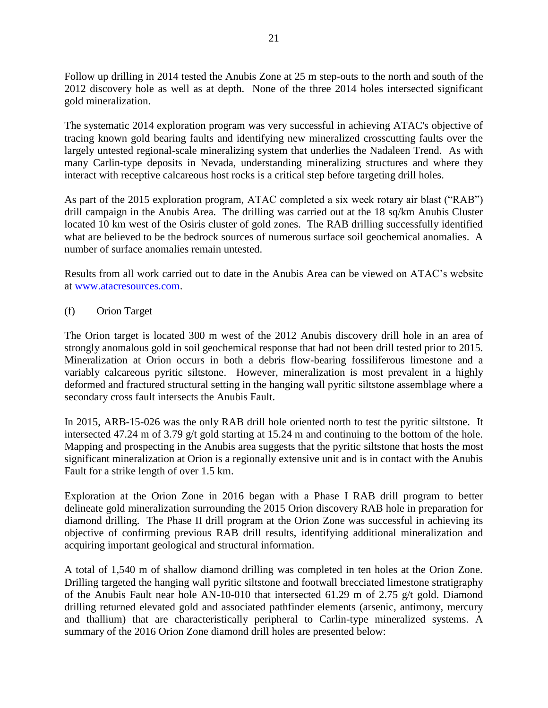Follow up drilling in 2014 tested the Anubis Zone at 25 m step-outs to the north and south of the 2012 discovery hole as well as at depth. None of the three 2014 holes intersected significant gold mineralization.

The systematic 2014 exploration program was very successful in achieving ATAC's objective of tracing known gold bearing faults and identifying new mineralized crosscutting faults over the largely untested regional-scale mineralizing system that underlies the Nadaleen Trend. As with many Carlin-type deposits in Nevada, understanding mineralizing structures and where they interact with receptive calcareous host rocks is a critical step before targeting drill holes.

As part of the 2015 exploration program, ATAC completed a six week rotary air blast ("RAB") drill campaign in the Anubis Area. The drilling was carried out at the 18 sq/km Anubis Cluster located 10 km west of the Osiris cluster of gold zones. The RAB drilling successfully identified what are believed to be the bedrock sources of numerous surface soil geochemical anomalies. A number of surface anomalies remain untested.

Results from all work carried out to date in the Anubis Area can be viewed on ATAC's website at [www.atacresources.com.](http://www.atacresources.com/news/news-releases/atac-resources-ltd-identifies-10-sq-km-gold-in-soil-anomaly-5-km-southeast-of-its-tiger-gold-deposit-rackla-gold-project-yukon)

### (f) Orion Target

The Orion target is located 300 m west of the 2012 Anubis discovery drill hole in an area of strongly anomalous gold in soil geochemical response that had not been drill tested prior to 2015. Mineralization at Orion occurs in both a debris flow-bearing fossiliferous limestone and a variably calcareous pyritic siltstone. However, mineralization is most prevalent in a highly deformed and fractured structural setting in the hanging wall pyritic siltstone assemblage where a secondary cross fault intersects the Anubis Fault.

In 2015, ARB-15-026 was the only RAB drill hole oriented north to test the pyritic siltstone. It intersected 47.24 m of 3.79 g/t gold starting at 15.24 m and continuing to the bottom of the hole. Mapping and prospecting in the Anubis area suggests that the pyritic siltstone that hosts the most significant mineralization at Orion is a regionally extensive unit and is in contact with the Anubis Fault for a strike length of over 1.5 km.

Exploration at the Orion Zone in 2016 began with a Phase I RAB drill program to better delineate gold mineralization surrounding the 2015 Orion discovery RAB hole in preparation for diamond drilling. The Phase II drill program at the Orion Zone was successful in achieving its objective of confirming previous RAB drill results, identifying additional mineralization and acquiring important geological and structural information.

A total of 1,540 m of shallow diamond drilling was completed in ten holes at the Orion Zone. Drilling targeted the hanging wall pyritic siltstone and footwall brecciated limestone stratigraphy of the Anubis Fault near hole AN-10-010 that intersected 61.29 m of 2.75 g/t gold. Diamond drilling returned elevated gold and associated pathfinder elements (arsenic, antimony, mercury and thallium) that are characteristically peripheral to Carlin-type mineralized systems. A summary of the 2016 Orion Zone diamond drill holes are presented below: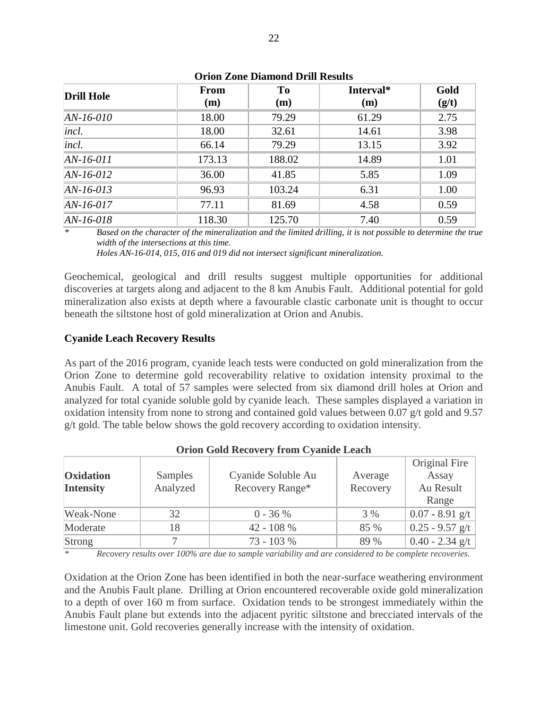| <b>Drill Hole</b> | From   | To     | Interval* | Gold  |  |
|-------------------|--------|--------|-----------|-------|--|
|                   | (m)    | (m)    | (m)       | (g/t) |  |
| $AN-16-010$       | 18.00  | 79.29  | 61.29     | 2.75  |  |
| incl.             | 18.00  | 32.61  | 14.61     | 3.98  |  |
| <i>incl.</i>      | 66.14  | 79.29  | 13.15     | 3.92  |  |
| $AN-16-011$       | 173.13 | 188.02 | 14.89     | 1.01  |  |
| $AN-16-012$       | 36.00  | 41.85  | 5.85      | 1.09  |  |
| $AN-16-013$       | 96.93  | 103.24 | 6.31      | 1.00  |  |
| $AN-16-017$       | 77.11  | 81.69  | 4.58      | 0.59  |  |
| $AN-16-018$       | 118.30 | 125.70 | 7.40      | 0.59  |  |

**Orion Zone Diamond Drill Results**

*\* Based on the character of the mineralization and the limited drilling, it is not possible to determine the true width of the intersections at this time.*

*Holes AN-16-014, 015, 016 and 019 did not intersect significant mineralization.*

Geochemical, geological and drill results suggest multiple opportunities for additional discoveries at targets along and adjacent to the 8 km Anubis Fault. Additional potential for gold mineralization also exists at depth where a favourable clastic carbonate unit is thought to occur beneath the siltstone host of gold mineralization at Orion and Anubis.

#### **Cyanide Leach Recovery Results**

As part of the 2016 program, cyanide leach tests were conducted on gold mineralization from the Orion Zone to determine gold recoverability relative to oxidation intensity proximal to the Anubis Fault. A total of 57 samples were selected from six diamond drill holes at Orion and analyzed for total cyanide soluble gold by cyanide leach. These samples displayed a variation in oxidation intensity from none to strong and contained gold values between 0.07 g/t gold and 9.57 g/t gold. The table below shows the gold recovery according to oxidation intensity.

|                  |                |                    |          | Original Fire     |
|------------------|----------------|--------------------|----------|-------------------|
| <b>Oxidation</b> | <b>Samples</b> | Cyanide Soluble Au | Average  | Assay             |
| <b>Intensity</b> | Analyzed       | Recovery Range*    | Recovery | Au Result         |
|                  |                |                    |          | Range             |
| Weak-None        | 32             | $0 - 36 %$         | 3 %      | $0.07 - 8.91$ g/t |
| Moderate         | 18             | 42 - 108 %         | 85 %     | $0.25 - 9.57$ g/t |
| Strong           |                | 73 - 103 %         | 89 %     | $0.40 - 2.34$ g/t |

#### **Orion Gold Recovery from Cyanide Leach**

*\* Recovery results over 100% are due to sample variability and are considered to be complete recoveries.*

Oxidation at the Orion Zone has been identified in both the near-surface weathering environment and the Anubis Fault plane. Drilling at Orion encountered recoverable oxide gold mineralization to a depth of over 160 m from surface. Oxidation tends to be strongest immediately within the Anubis Fault plane but extends into the adjacent pyritic siltstone and brecciated intervals of the limestone unit. Gold recoveries generally increase with the intensity of oxidation.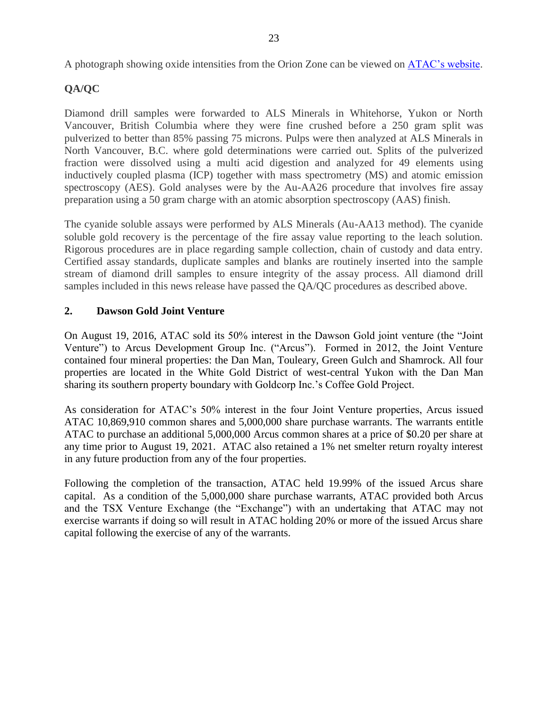A photograph showing oxide intensities from the Orion Zone can be viewed on [ATAC's website.](http://www.atacresources.com/)

# **QA/QC**

Diamond drill samples were forwarded to ALS Minerals in Whitehorse, Yukon or North Vancouver, British Columbia where they were fine crushed before a 250 gram split was pulverized to better than 85% passing 75 microns. Pulps were then analyzed at ALS Minerals in North Vancouver, B.C. where gold determinations were carried out. Splits of the pulverized fraction were dissolved using a multi acid digestion and analyzed for 49 elements using inductively coupled plasma (ICP) together with mass spectrometry (MS) and atomic emission spectroscopy (AES). Gold analyses were by the Au-AA26 procedure that involves fire assay preparation using a 50 gram charge with an atomic absorption spectroscopy (AAS) finish.

The cyanide soluble assays were performed by ALS Minerals (Au-AA13 method). The cyanide soluble gold recovery is the percentage of the fire assay value reporting to the leach solution. Rigorous procedures are in place regarding sample collection, chain of custody and data entry. Certified assay standards, duplicate samples and blanks are routinely inserted into the sample stream of diamond drill samples to ensure integrity of the assay process. All diamond drill samples included in this news release have passed the QA/QC procedures as described above.

## **2. Dawson Gold Joint Venture**

On August 19, 2016, ATAC sold its 50% interest in the Dawson Gold joint venture (the "Joint Venture") to Arcus Development Group Inc. ("Arcus"). Formed in 2012, the Joint Venture contained four mineral properties: the Dan Man, Touleary, Green Gulch and Shamrock. All four properties are located in the White Gold District of west-central Yukon with the Dan Man sharing its southern property boundary with Goldcorp Inc.'s Coffee Gold Project.

As consideration for ATAC's 50% interest in the four Joint Venture properties, Arcus issued ATAC 10,869,910 common shares and 5,000,000 share purchase warrants. The warrants entitle ATAC to purchase an additional 5,000,000 Arcus common shares at a price of \$0.20 per share at any time prior to August 19, 2021. ATAC also retained a 1% net smelter return royalty interest in any future production from any of the four properties.

Following the completion of the transaction, ATAC held 19.99% of the issued Arcus share capital. As a condition of the 5,000,000 share purchase warrants, ATAC provided both Arcus and the TSX Venture Exchange (the "Exchange") with an undertaking that ATAC may not exercise warrants if doing so will result in ATAC holding 20% or more of the issued Arcus share capital following the exercise of any of the warrants.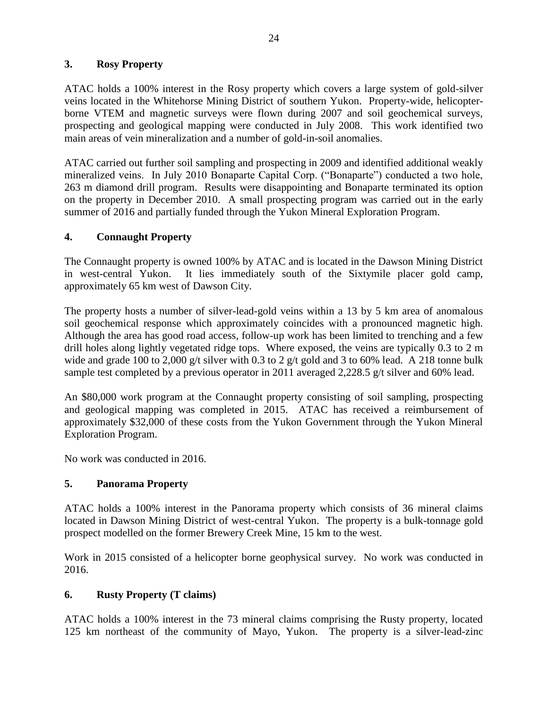## **3. Rosy Property**

ATAC holds a 100% interest in the Rosy property which covers a large system of gold-silver veins located in the Whitehorse Mining District of southern Yukon. Property-wide, helicopterborne VTEM and magnetic surveys were flown during 2007 and soil geochemical surveys, prospecting and geological mapping were conducted in July 2008. This work identified two main areas of vein mineralization and a number of gold-in-soil anomalies.

ATAC carried out further soil sampling and prospecting in 2009 and identified additional weakly mineralized veins. In July 2010 Bonaparte Capital Corp. ("Bonaparte") conducted a two hole, 263 m diamond drill program. Results were disappointing and Bonaparte terminated its option on the property in December 2010. A small prospecting program was carried out in the early summer of 2016 and partially funded through the Yukon Mineral Exploration Program.

## **4. Connaught Property**

The Connaught property is owned 100% by ATAC and is located in the Dawson Mining District in west-central Yukon. It lies immediately south of the Sixtymile placer gold camp, approximately 65 km west of Dawson City.

The property hosts a number of silver-lead-gold veins within a 13 by 5 km area of anomalous soil geochemical response which approximately coincides with a pronounced magnetic high. Although the area has good road access, follow-up work has been limited to trenching and a few drill holes along lightly vegetated ridge tops. Where exposed, the veins are typically 0.3 to 2 m wide and grade 100 to 2,000 g/t silver with 0.3 to 2 g/t gold and 3 to 60% lead. A 218 tonne bulk sample test completed by a previous operator in 2011 averaged 2,228.5 g/t silver and 60% lead.

An \$80,000 work program at the Connaught property consisting of soil sampling, prospecting and geological mapping was completed in 2015. ATAC has received a reimbursement of approximately \$32,000 of these costs from the Yukon Government through the Yukon Mineral Exploration Program.

No work was conducted in 2016.

## **5. Panorama Property**

ATAC holds a 100% interest in the Panorama property which consists of 36 mineral claims located in Dawson Mining District of west-central Yukon. The property is a bulk-tonnage gold prospect modelled on the former Brewery Creek Mine, 15 km to the west.

Work in 2015 consisted of a helicopter borne geophysical survey. No work was conducted in 2016.

## **6. Rusty Property (T claims)**

ATAC holds a 100% interest in the 73 mineral claims comprising the Rusty property, located 125 km northeast of the community of Mayo, Yukon. The property is a silver-lead-zinc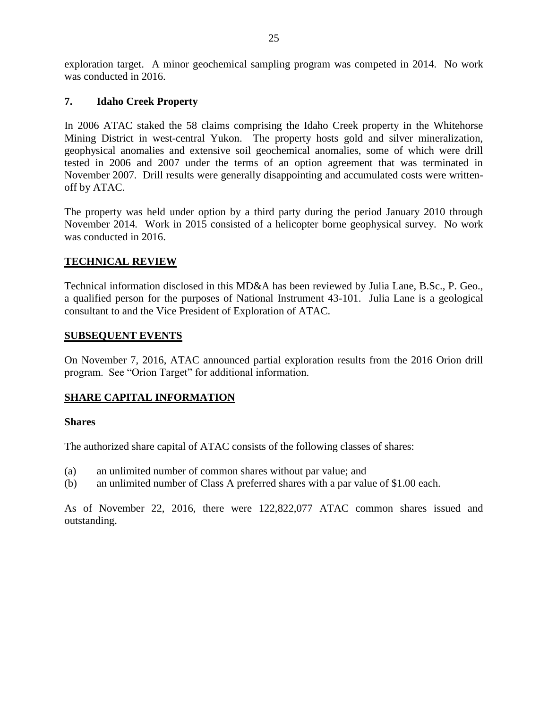exploration target. A minor geochemical sampling program was competed in 2014. No work was conducted in 2016.

### **7. Idaho Creek Property**

In 2006 ATAC staked the 58 claims comprising the Idaho Creek property in the Whitehorse Mining District in west-central Yukon. The property hosts gold and silver mineralization, geophysical anomalies and extensive soil geochemical anomalies, some of which were drill tested in 2006 and 2007 under the terms of an option agreement that was terminated in November 2007. Drill results were generally disappointing and accumulated costs were writtenoff by ATAC.

The property was held under option by a third party during the period January 2010 through November 2014. Work in 2015 consisted of a helicopter borne geophysical survey. No work was conducted in 2016.

### **TECHNICAL REVIEW**

Technical information disclosed in this MD&A has been reviewed by Julia Lane, B.Sc., P. Geo., a qualified person for the purposes of National Instrument 43-101. Julia Lane is a geological consultant to and the Vice President of Exploration of ATAC.

#### **SUBSEQUENT EVENTS**

On November 7, 2016, ATAC announced partial exploration results from the 2016 Orion drill program. See "Orion Target" for additional information.

## **SHARE CAPITAL INFORMATION**

#### **Shares**

The authorized share capital of ATAC consists of the following classes of shares:

- (a) an unlimited number of common shares without par value; and
- (b) an unlimited number of Class A preferred shares with a par value of \$1.00 each.

As of November 22, 2016, there were 122,822,077 ATAC common shares issued and outstanding.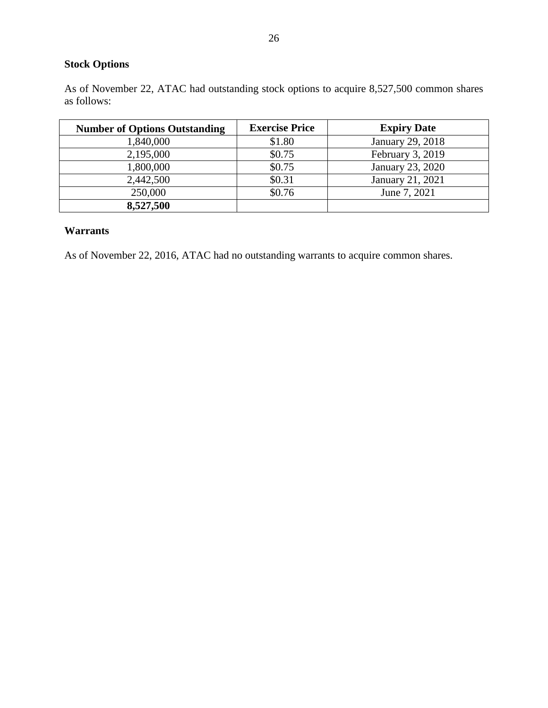# **Stock Options**

As of November 22, ATAC had outstanding stock options to acquire 8,527,500 common shares as follows:

| <b>Number of Options Outstanding</b> | <b>Exercise Price</b> | <b>Expiry Date</b> |
|--------------------------------------|-----------------------|--------------------|
| 1,840,000                            | \$1.80                | January 29, 2018   |
| 2,195,000                            | \$0.75                | February 3, 2019   |
| 1,800,000                            | \$0.75                | January 23, 2020   |
| 2,442,500                            | \$0.31                | January 21, 2021   |
| 250,000                              | \$0.76                | June 7, 2021       |
| 8,527,500                            |                       |                    |

### **Warrants**

As of November 22, 2016, ATAC had no outstanding warrants to acquire common shares.